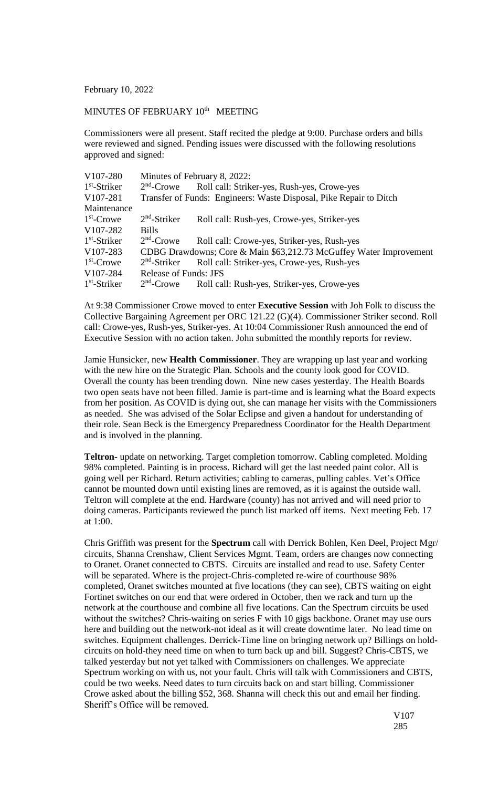February 10, 2022

## MINUTES OF FEBRUARY 10<sup>th</sup> MEETING

Commissioners were all present. Staff recited the pledge at 9:00. Purchase orders and bills were reviewed and signed. Pending issues were discussed with the following resolutions approved and signed:

| V <sub>107</sub> -280 | Minutes of February 8, 2022:                                       |                                             |
|-----------------------|--------------------------------------------------------------------|---------------------------------------------|
| $1st$ -Striker        | $2nd$ -Crowe                                                       | Roll call: Striker-yes, Rush-yes, Crowe-yes |
| V107-281              | Transfer of Funds: Engineers: Waste Disposal, Pike Repair to Ditch |                                             |
| Maintenance           |                                                                    |                                             |
| $1st$ -Crowe          | $2nd$ -Striker                                                     | Roll call: Rush-yes, Crowe-yes, Striker-yes |
| V <sub>107</sub> -282 | <b>Bills</b>                                                       |                                             |
| $1st$ -Striker        | $2nd$ -Crowe                                                       | Roll call: Crowe-yes, Striker-yes, Rush-yes |
| V <sub>107</sub> -283 | CDBG Drawdowns; Core & Main \$63,212.73 McGuffey Water Improvement |                                             |
| $1st$ -Crowe          | $2nd$ -Striker                                                     | Roll call: Striker-yes, Crowe-yes, Rush-yes |
| V107-284              | <b>Release of Funds: JFS</b>                                       |                                             |
| $1st$ -Striker        | $2nd$ -Crowe                                                       | Roll call: Rush-yes, Striker-yes, Crowe-yes |

At 9:38 Commissioner Crowe moved to enter **Executive Session** with Joh Folk to discuss the Collective Bargaining Agreement per ORC 121.22 (G)(4). Commissioner Striker second. Roll call: Crowe-yes, Rush-yes, Striker-yes. At 10:04 Commissioner Rush announced the end of Executive Session with no action taken. John submitted the monthly reports for review.

Jamie Hunsicker, new **Health Commissioner**. They are wrapping up last year and working with the new hire on the Strategic Plan. Schools and the county look good for COVID. Overall the county has been trending down. Nine new cases yesterday. The Health Boards two open seats have not been filled. Jamie is part-time and is learning what the Board expects from her position. As COVID is dying out, she can manage her visits with the Commissioners as needed. She was advised of the Solar Eclipse and given a handout for understanding of their role. Sean Beck is the Emergency Preparedness Coordinator for the Health Department and is involved in the planning.

**Teltron-** update on networking. Target completion tomorrow. Cabling completed. Molding 98% completed. Painting is in process. Richard will get the last needed paint color. All is going well per Richard. Return activities; cabling to cameras, pulling cables. Vet's Office cannot be mounted down until existing lines are removed, as it is against the outside wall. Teltron will complete at the end. Hardware (county) has not arrived and will need prior to doing cameras. Participants reviewed the punch list marked off items. Next meeting Feb. 17 at 1:00.

Chris Griffith was present for the **Spectrum** call with Derrick Bohlen, Ken Deel, Project Mgr/ circuits, Shanna Crenshaw, Client Services Mgmt. Team, orders are changes now connecting to Oranet. Oranet connected to CBTS. Circuits are installed and read to use. Safety Center will be separated. Where is the project-Chris-completed re-wire of courthouse 98% completed, Oranet switches mounted at five locations (they can see), CBTS waiting on eight Fortinet switches on our end that were ordered in October, then we rack and turn up the network at the courthouse and combine all five locations. Can the Spectrum circuits be used without the switches? Chris-waiting on series F with 10 gigs backbone. Oranet may use ours here and building out the network-not ideal as it will create downtime later. No lead time on switches. Equipment challenges. Derrick-Time line on bringing network up? Billings on holdcircuits on hold-they need time on when to turn back up and bill. Suggest? Chris-CBTS, we talked yesterday but not yet talked with Commissioners on challenges. We appreciate Spectrum working on with us, not your fault. Chris will talk with Commissioners and CBTS, could be two weeks. Need dates to turn circuits back on and start billing. Commissioner Crowe asked about the billing \$52, 368. Shanna will check this out and email her finding. Sheriff's Office will be removed.

V107 285